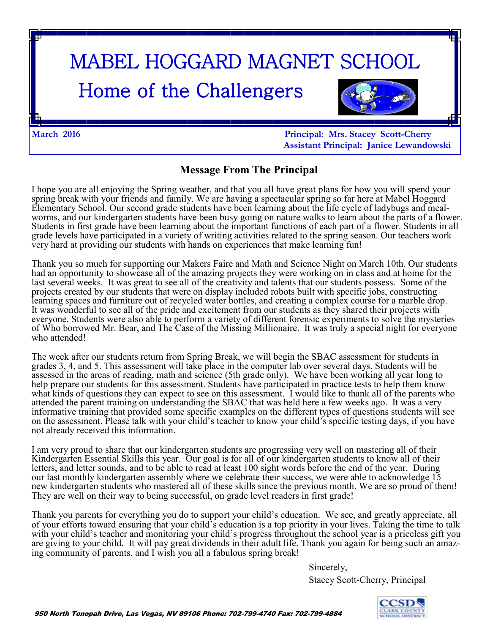# MABEL HOGGARD MAGNET SCHOOL Home of the Challengers

**March 2016 Principal: Mrs. Stacey Scott-Cherry Assistant Principal: Janice Lewandowski**

#### **Message From The Principal**

I hope you are all enjoying the Spring weather, and that you all have great plans for how you will spend your spring break with your friends and family. We are having a spectacular spring so far here at Mabel Hoggard Elementary School. Our second grade students have been learning about the life cycle of ladybugs and mealworms, and our kindergarten students have been busy going on nature walks to learn about the parts of a flower. Students in first grade have been learning about the important functions of each part of a flower. Students in all grade levels have participated in a variety of writing activities related to the spring season. Our teachers work very hard at providing our students with hands on experiences that make learning fun!

Thank you so much for supporting our Makers Faire and Math and Science Night on March 10th. Our students had an opportunity to showcase all of the amazing projects they were working on in class and at home for the last several weeks. It was great to see all of the creativity and talents that our students possess. Some of the projects created by our students that were on display included robots built with specific jobs, constructing learning spaces and furniture out of recycled water bottles, and creating a complex course for a marble drop. It was wonderful to see all of the pride and excitement from our students as they shared their projects with everyone. Students were also able to perform a variety of different forensic experiments to solve the mysteries of Who borrowed Mr. Bear, and The Case of the Missing Millionaire. It was truly a special night for everyone who attended!

The week after our students return from Spring Break, we will begin the SBAC assessment for students in grades 3, 4, and 5. This assessment will take place in the computer lab over several days. Students will be assessed in the areas of reading, math and science (5th grade only). We have been working all year long to help prepare our students for this assessment. Students have participated in practice tests to help them know what kinds of questions they can expect to see on this assessment. I would like to thank all of the parents who attended the parent training on understanding the SBAC that was held here a few weeks ago. It was a very informative training that provided some specific examples on the different types of questions students will see on the assessment. Please talk with your child's teacher to know your child's specific testing days, if you have not already received this information.

I am very proud to share that our kindergarten students are progressing very well on mastering all of their Kindergarten Essential Skills this year. Our goal is for all of our kindergarten students to know all of their letters, and letter sounds, and to be able to read at least 100 sight words before the end of the year. During our last monthly kindergarten assembly where we celebrate their success, we were able to acknowledge 15 new kindergarten students who mastered all of these skills since the previous month. We are so proud of them! They are well on their way to being successful, on grade level readers in first grade!

Thank you parents for everything you do to support your child's education. We see, and greatly appreciate, all of your efforts toward ensuring that your child's education is a top priority in your lives. Taking the time to talk with your child's teacher and monitoring your child's progress throughout the school year is a priceless gift you are giving to your child. It will pay great dividends in their adult life. Thank you again for being such an amazing community of parents, and I wish you all a fabulous spring break!

Sincerely,

Stacey Scott-Cherry, Principal

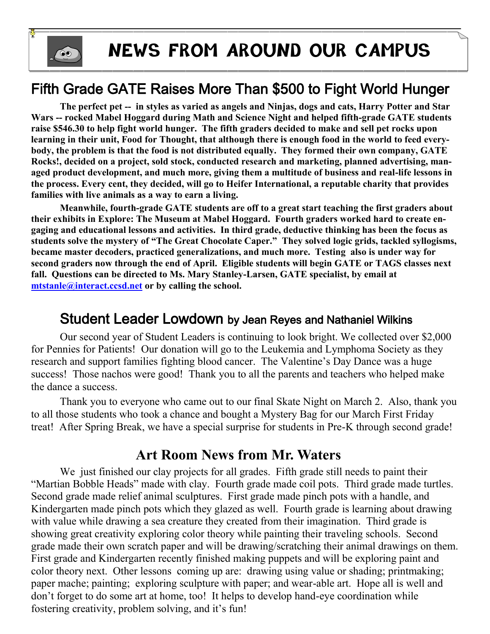

## **NEWS FROM AROUND OUR CAMPUS**

### Fifth Grade GATE Raises More Than \$500 to Fight World Hunger

 **The perfect pet -- in styles as varied as angels and Ninjas, dogs and cats, Harry Potter and Star Wars -- rocked Mabel Hoggard during Math and Science Night and helped fifth-grade GATE students raise \$546.30 to help fight world hunger. The fifth graders decided to make and sell pet rocks upon learning in their unit, Food for Thought, that although there is enough food in the world to feed everybody, the problem is that the food is not distributed equally. They formed their own company, GATE Rocks!, decided on a project, sold stock, conducted research and marketing, planned advertising, managed product development, and much more, giving them a multitude of business and real-life lessons in the process. Every cent, they decided, will go to Heifer International, a reputable charity that provides families with live animals as a way to earn a living.**

**Meanwhile, fourth-grade GATE students are off to a great start teaching the first graders about their exhibits in Explore: The Museum at Mabel Hoggard. Fourth graders worked hard to create engaging and educational lessons and activities. In third grade, deductive thinking has been the focus as students solve the mystery of "The Great Chocolate Caper." They solved logic grids, tackled syllogisms, became master decoders, practiced generalizations, and much more. Testing also is under way for second graders now through the end of April. Eligible students will begin GATE or TAGS classes next fall. Questions can be directed to Ms. Mary Stanley-Larsen, GATE specialist, by email at [mtstanle@interact.ccsd.net](mailto:mtstanle@interact.ccsd.net) or by calling the school.** 

#### Student Leader Lowdown by Jean Reyes and Nathaniel Wilkins

Our second year of Student Leaders is continuing to look bright. We collected over \$2,000 for Pennies for Patients! Our donation will go to the Leukemia and Lymphoma Society as they research and support families fighting blood cancer. The Valentine's Day Dance was a huge success! Those nachos were good! Thank you to all the parents and teachers who helped make the dance a success.

Thank you to everyone who came out to our final Skate Night on March 2. Also, thank you to all those students who took a chance and bought a Mystery Bag for our March First Friday treat! After Spring Break, we have a special surprise for students in Pre-K through second grade!

### **Art Room News from Mr. Waters**

We just finished our clay projects for all grades. Fifth grade still needs to paint their "Martian Bobble Heads" made with clay. Fourth grade made coil pots. Third grade made turtles. Second grade made relief animal sculptures. First grade made pinch pots with a handle, and Kindergarten made pinch pots which they glazed as well. Fourth grade is learning about drawing with value while drawing a sea creature they created from their imagination. Third grade is showing great creativity exploring color theory while painting their traveling schools. Second grade made their own scratch paper and will be drawing/scratching their animal drawings on them. First grade and Kindergarten recently finished making puppets and will be exploring paint and color theory next. Other lessons coming up are: drawing using value or shading; printmaking; paper mache; painting; exploring sculpture with paper; and wear-able art. Hope all is well and don't forget to do some art at home, too! It helps to develop hand-eye coordination while fostering creativity, problem solving, and it's fun!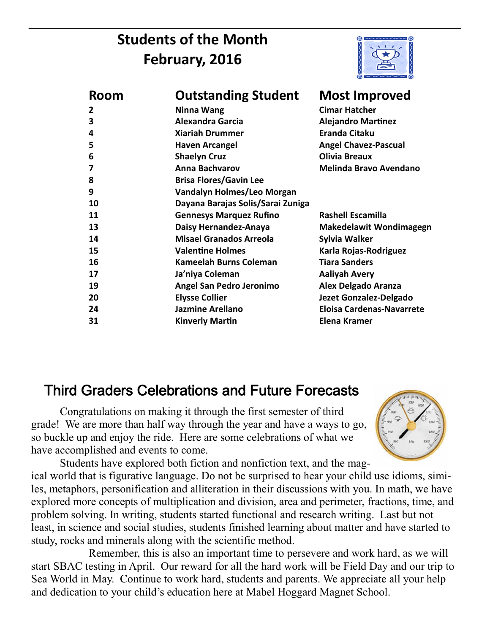### **Students of the Month February, 2016**



| <b>Room</b> | <b>Outstanding Student</b>        | <b>Most Improved</b>             |
|-------------|-----------------------------------|----------------------------------|
| 2           | Ninna Wang                        | <b>Cimar Hatcher</b>             |
| 3           | <b>Alexandra Garcia</b>           | <b>Alejandro Martinez</b>        |
| 4           | <b>Xiariah Drummer</b>            | <b>Eranda Citaku</b>             |
| 5           | <b>Haven Arcangel</b>             | <b>Angel Chavez-Pascual</b>      |
| 6           | <b>Shaelyn Cruz</b>               | Olivia Breaux                    |
| 7           | <b>Anna Bachvarov</b>             | <b>Melinda Bravo Avendano</b>    |
| 8           | <b>Brisa Flores/Gavin Lee</b>     |                                  |
| 9           | Vandalyn Holmes/Leo Morgan        |                                  |
| 10          | Dayana Barajas Solis/Sarai Zuniga |                                  |
| 11          | <b>Gennesys Marquez Rufino</b>    | <b>Rashell Escamilla</b>         |
| 13          | Daisy Hernandez-Anaya             | <b>Makedelawit Wondimagegn</b>   |
| 14          | <b>Misael Granados Arreola</b>    | Sylvia Walker                    |
| 15          | <b>Valentine Holmes</b>           | Karla Rojas-Rodriguez            |
| 16          | Kameelah Burns Coleman            | <b>Tiara Sanders</b>             |
| 17          | Ja'niya Coleman                   | <b>Aaliyah Avery</b>             |
| 19          | Angel San Pedro Jeronimo          | <b>Alex Delgado Aranza</b>       |
| 20          | <b>Elysse Collier</b>             | Jezet Gonzalez-Delgado           |
| 24          | <b>Jazmine Arellano</b>           | <b>Eloisa Cardenas-Navarrete</b> |
| 31          | <b>Kinverly Martin</b>            | Elena Kramer                     |

### Third Graders Celebrations and Future Forecasts

Congratulations on making it through the first semester of third grade! We are more than half way through the year and have a ways to go, so buckle up and enjoy the ride. Here are some celebrations of what we have accomplished and events to come.



Students have explored both fiction and nonfiction text, and the magical world that is figurative language. Do not be surprised to hear your child use idioms, similes, metaphors, personification and alliteration in their discussions with you. In math, we have explored more concepts of multiplication and division, area and perimeter, fractions, time, and problem solving. In writing, students started functional and research writing. Last but not least, in science and social studies, students finished learning about matter and have started to study, rocks and minerals along with the scientific method.

Remember, this is also an important time to persevere and work hard, as we will start SBAC testing in April. Our reward for all the hard work will be Field Day and our trip to Sea World in May. Continue to work hard, students and parents. We appreciate all your help and dedication to your child's education here at Mabel Hoggard Magnet School.